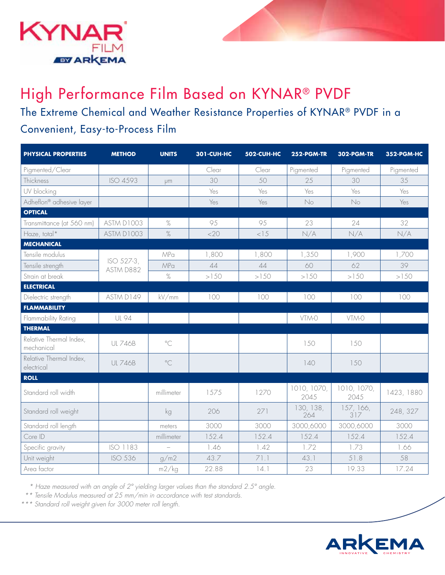

## High Performance Film Based on KYNAR® PVDF

The Extreme Chemical and Weather Resistance Properties of KYNAR® PVDF in a Convenient, Easy-to-Process Film

| <b>PHYSICAL PROPERTIES</b>            | <b>METHOD</b>           | <b>UNITS</b> | <b>301-CUH-HC</b> | 502-CUH-HC | 252-PGM-TR          | <b>302-PGM-TR</b>   | 352-PGM-HC |
|---------------------------------------|-------------------------|--------------|-------------------|------------|---------------------|---------------------|------------|
| Pigmented/Clear                       |                         |              | Clear             | Clear      | Pigmented           | Pigmented           | Pigmented  |
| Thickness                             | ISO 4593                | μm           | 30                | 50         | 25                  | 30                  | 35         |
| UV blocking                           |                         |              | Yes               | Yes        | Yes                 | Yes                 | Yes        |
| Adheflon® adhesive layer              |                         |              | Yes               | Yes        | No                  | No                  | Yes        |
| <b>OPTICAL</b>                        |                         |              |                   |            |                     |                     |            |
| Transmittance (at 560 nm)             | ASTM D1003              | $\%$         | 95                | 95         | 23                  | 24                  | 32         |
| Haze, total*                          | ASTM D1003              | $\%$         | <20               | < 15       | N/A                 | N/A                 | N/A        |
| <b>MECHANICAL</b>                     |                         |              |                   |            |                     |                     |            |
| Tensile modulus                       | ISO 527-3,<br>ASTM D882 | <b>MPa</b>   | 1,800             | 1,800      | 1,350               | 1,900               | 1,700      |
| Tensile strength                      |                         | MPa          | 44                | 44         | 60                  | 62                  | 39         |
| Strain at break                       |                         | $\%$         | >150              | >150       | >150                | >150                | >150       |
| <b>ELECTRICAL</b>                     |                         |              |                   |            |                     |                     |            |
| Dielectric strength                   | ASTM D149               | kV/mm        | 100               | 100        | 100                 | 100                 | 100        |
| <b>FLAMMABILITY</b>                   |                         |              |                   |            |                     |                     |            |
| Flammability Rating                   | <b>UL 94</b>            |              |                   |            | VTM-O               | VTM-0               |            |
| <b>THERMAL</b>                        |                         |              |                   |            |                     |                     |            |
| Relative Thermal Index,<br>mechanical | <b>UL 746B</b>          | $\circ$ C    |                   |            | 150                 | 150                 |            |
| Relative Thermal Index,<br>electrical | <b>UL 746B</b>          | $^{\circ}$ C |                   |            | 140                 | 150                 |            |
| <b>ROLL</b>                           |                         |              |                   |            |                     |                     |            |
| Standard roll width                   |                         | millimeter   | 1575              | 1270       | 1010, 1070,<br>2045 | 1010, 1070,<br>2045 | 1423, 1880 |
| Standard roll weight                  |                         | kg           | 206               | 271        | 130, 138,<br>264    | 157, 166,<br>317    | 248, 327   |
| Standard roll length                  |                         | meters       | 3000              | 3000       | 3000,6000           | 3000,6000           | 3000       |
| Core ID                               |                         | millimeter   | 152.4             | 152.4      | 152.4               | 152.4               | 152.4      |
| Specific gravity                      | ISO 1183                |              | 1.46              | 1.42       | 1.72                | 1.73                | 1.66       |
| Unit weight                           | <b>ISO 536</b>          | g/m2         | 43.7              | 71.1       | 43.1                | 51.8                | 58         |
| Area factor                           |                         | m2/kg        | 22.88             | 14.1       | 23                  | 19.33               | 17.24      |

*\* Haze measured with an angle of 2° yielding larger values than the standard 2.5° angle.*

 *\*\* Tensile Modulus measured at 25 mm/min in accordance with test standards.*

*\*\*\* Standard roll weight given for 3000 meter roll length.*